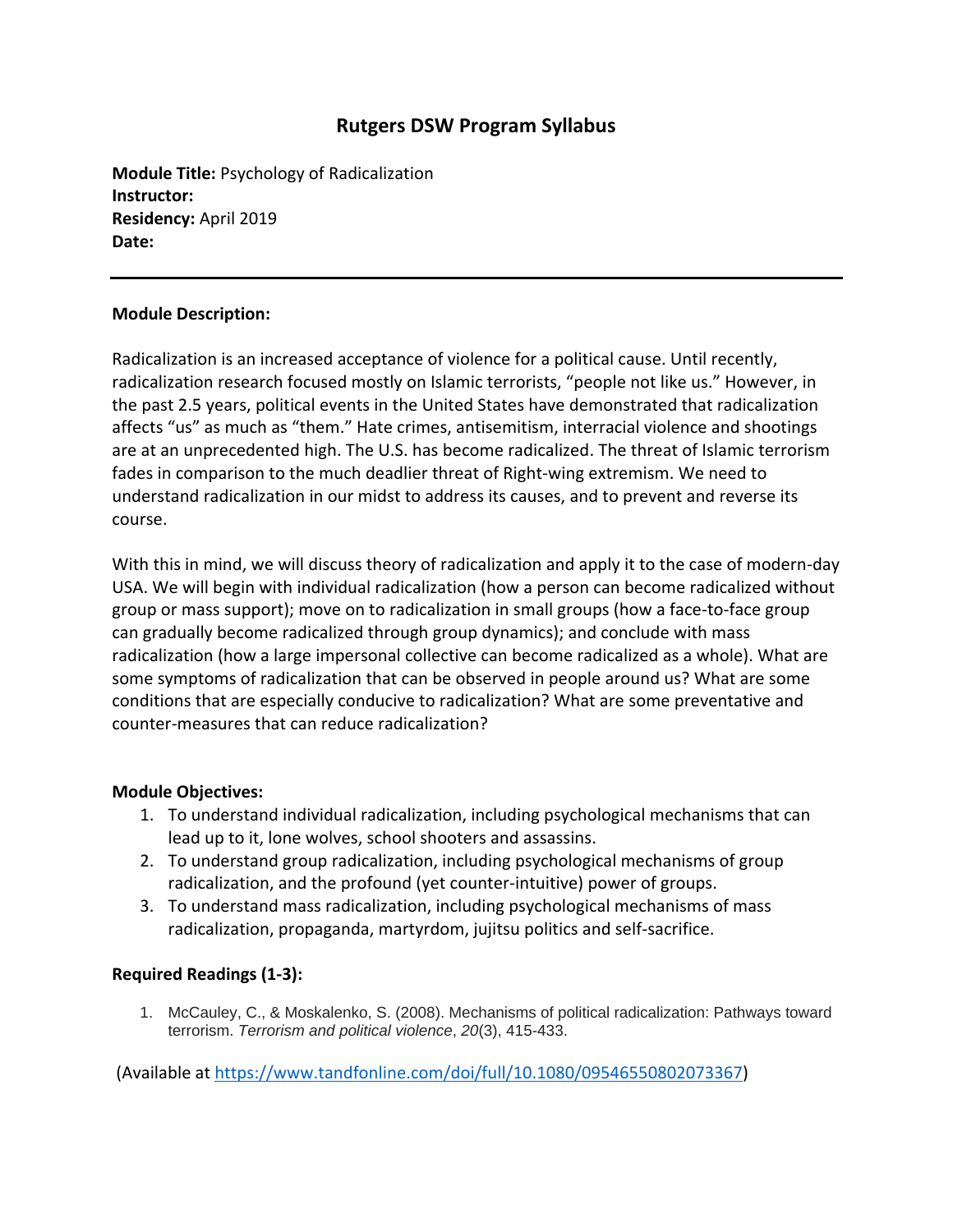# **Rutgers DSW Program Syllabus**

**Module Title:** Psychology of Radicalization **Instructor: Residency:** April 2019 **Date:** 

### **Module Description:**

Radicalization is an increased acceptance of violence for a political cause. Until recently, radicalization research focused mostly on Islamic terrorists, "people not like us." However, in the past 2.5 years, political events in the United States have demonstrated that radicalization affects "us" as much as "them." Hate crimes, antisemitism, interracial violence and shootings are at an unprecedented high. The U.S. has become radicalized. The threat of Islamic terrorism fades in comparison to the much deadlier threat of Right-wing extremism. We need to understand radicalization in our midst to address its causes, and to prevent and reverse its course.

With this in mind, we will discuss theory of radicalization and apply it to the case of modern-day USA. We will begin with individual radicalization (how a person can become radicalized without group or mass support); move on to radicalization in small groups (how a face-to-face group can gradually become radicalized through group dynamics); and conclude with mass radicalization (how a large impersonal collective can become radicalized as a whole). What are some symptoms of radicalization that can be observed in people around us? What are some conditions that are especially conducive to radicalization? What are some preventative and counter-measures that can reduce radicalization?

#### **Module Objectives:**

- 1. To understand individual radicalization, including psychological mechanisms that can lead up to it, lone wolves, school shooters and assassins.
- 2. To understand group radicalization, including psychological mechanisms of group radicalization, and the profound (yet counter-intuitive) power of groups.
- 3. To understand mass radicalization, including psychological mechanisms of mass radicalization, propaganda, martyrdom, jujitsu politics and self-sacrifice.

## **Required Readings (1-3):**

1. McCauley, C., & Moskalenko, S. (2008). Mechanisms of political radicalization: Pathways toward terrorism. *Terrorism and political violence*, *20*(3), 415-433.

(Available at [https://www.tandfonline.com/doi/full/10.1080/09546550802073367\)](https://www.tandfonline.com/doi/full/10.1080/09546550802073367)